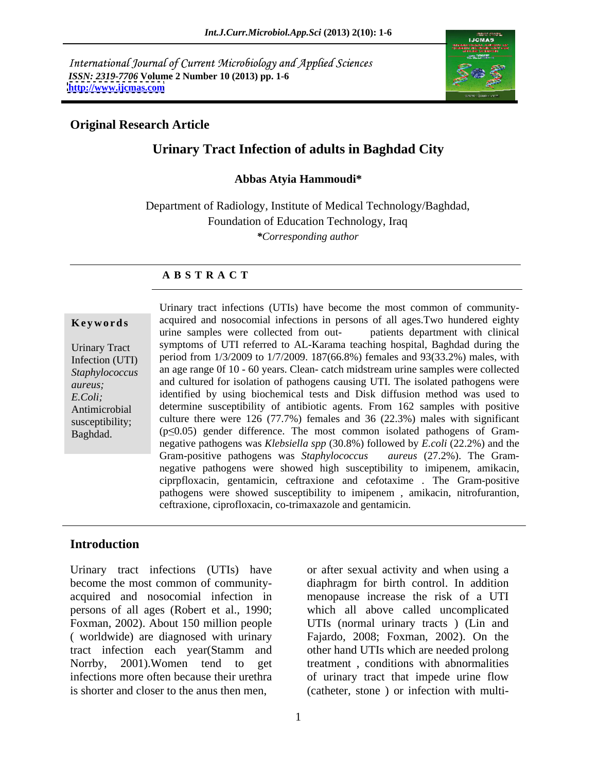International Journal of Current Microbiology and Applied Sciences *ISSN: 2319-7706* **Volume 2 Number 10 (2013) pp. 1-6 <http://www.ijcmas.com>**



## **Original Research Article**

# **Urinary Tract Infection of adults in Baghdad City**

**Abbas Atyia Hammoudi\***

Department of Radiology, Institute of Medical Technology/Baghdad, Foundation of Education Technology, Iraq *\*Corresponding author*

### **A B S T R A C T**

**Keywords** acquired and nosocomial infections in persons of all ages. Two hundered eighty urine samples were collected from out-<br>patients department with clinical Urinary Tract symptoms of UTI referred to AL-Karama teaching hospital, Baghdad during the Infection (UTI) period from 1/3/2009 to 1/7/2009. 187(66.8%) females and 93(33.2%) males, with *Staphylococcus*  an age range 0f 10 - 60 years. Clean- catch midstream urine samples were collected *aureus;* and cultured for isolation of pathogens causing UTI. The isolated pathogens were *E.Coli;* identified by using biochemical tests and Disk diffusion method was used to Antimicrobial determine susceptibility of antibiotic agents. From 162 samples with positive susceptibility; culture there were 126 (77.7%) females and 36 (22.3%) males with significant **Example 19** Urinary tract infections (UTIs) have become the most common of community-<br>
acquired and nosocomial infections in persons of all ages.Two hundered eighty<br>
urine samples were collected from out-<br>
pariod from 1/ urine samples were collected from out- patients department with clinical  $(p \le 0.05)$  gender difference. The most common isolated pathogens of Gramnegative pathogens was *Klebsiella spp* (30.8%) followed by *E.coli* (22.2%) and the Gram-positive pathogens was *Staphylococcus aureus* (27.2%). The Gram negative pathogens were showed high susceptibility to imipenem, amikacin, ciprpfloxacin, gentamicin, ceftraxione and cefotaxime . The Gram-positive pathogens were showed susceptibility to imipenem , amikacin, nitrofurantion, ceftraxione, ciprofloxacin, co-trimaxazole and gentamicin.

### **Introduction**

Urinary tract infections (UTIs) have or after sexual activity and when using a become the most common of community- diaphragm for birth control. In addition acquired and nosocomial infection in menopause increase the risk ofa UTI persons of all ages (Robert et al., 1990; Foxman, 2002). About 150 million people UTIs (normal urinary tracts ) (Lin and ( worldwide) are diagnosed with urinary Fajardo, 2008; Foxman, 2002). On the tract infection each year(Stamm and Norrby, 2001).Women tend to get treatment , conditions with abnormalities infections more often because their urethra of urinary tract that impede urine flow

is shorter and closer to the anus then men, (catheter, stone ) or infection with multiwhich all above called uncomplicated other hand UTIs which are needed prolong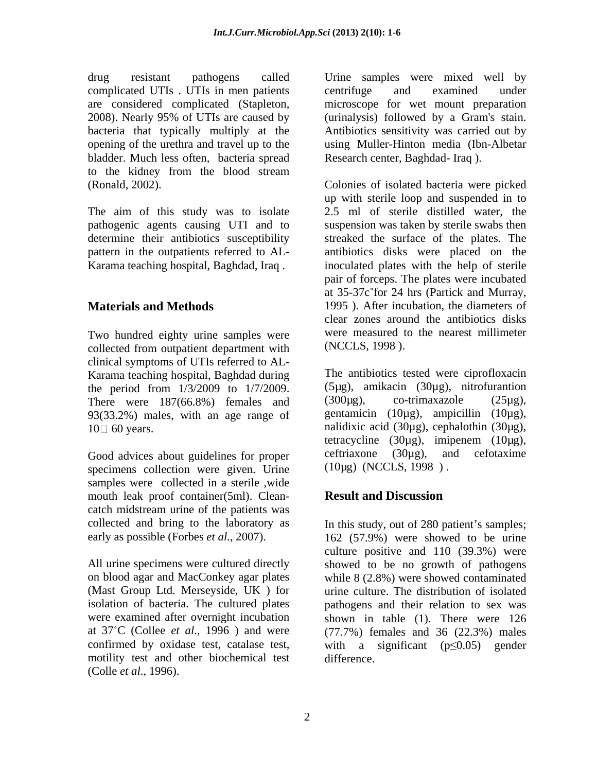drug resistant pathogens called Urine samples were mixed well by complicated UTIs . UTIs in men patients are considered complicated (Stapleton, microscope for wet mount preparation 2008). Nearly 95% of UTIs are caused by bacteria that typically multiply at the Antibiotics sensitivity was carried out by opening of the urethra and travel up to the using Muller-Hinton media(Ibn-Albetar bladder. Much less often, bacteria spread to the kidney from the blood stream

pathogenic agents causing UTI and to

Two hundred eighty urine samples were collected from outpatient department with clinical symptoms of UTIs referred to AL- Karama teaching hospital, Baghdad during the period from  $1/3/2009$  to  $1/7/2009$ . (5µg), amikacin (30µg), nitrofurantion<br>There were  $187(668\%)$  females and (300µg), co-trimaxazole (25µg), There were 187(66.8%) females and  $(300\mu g)$ , co-trimaxazole  $(25\mu g)$ ,<br>93(33.2%) males with an age range of gentamicin  $(10\mu g)$ , ampicillin  $(10\mu g)$ , 93(33.2%) males, with an age range of  $10 \square 60$  years.  $10 \square 60$  years.

specimens collection were given. Urine samples were collected in a sterile ,wide mouth leak proof container(5ml). Clean-<br>Result and Discussion catch midstream urine of the patients was

isolation of bacteria. The cultured plates motility test and other biochemical test (Colle *et al*., 1996).

centrifuge and examined under (urinalysis) followed by a Gram's stain. Research center, Baghdad- Iraq ).

(Ronald, 2002). Colonies of isolated bacteria were picked The aim of this study was to isolate and  $\frac{1}{2.5}$  m and suspended in to up with sterile loop and suspended in to up aim of sterile distilled water, the determine their antibiotics susceptibility streaked the surface of the plates. The pattern in the outpatients referred to AL- antibiotics disks were placed on the Karama teaching hospital, Baghdad, Iraq . inoculated plates with the help of sterile **Materials and Methods** 1995). After incubation, the diameters of up with sterile loop and suspended in to 2.5 ml of sterile distilled water, the suspension was taken by sterile swabs then pair of forceps. The plates were incubated at 35-37c for 24 hrs (Partick and Murray, clear zones around the antibiotics disks were measured to the nearest millimeter (NCCLS, 1998 ).

Good advices about guidelines for proper ceftriaxone  $(30\mu g)$ , and cefotaxime specimens collection were given Urine  $(10\mu g)$  (NCCLS, 1998). The antibiotics tested were ciprofloxacin (5µg), amikacin (30µg), nitrofurantion  $(300\mu g)$ , co-trimaxazole  $(25\mu g)$ , gentamicin (10µg), ampicillin (10µg), nalidixic acid (30µg), cephalothin (30µg), tetracycline (30µg), imipenem (10µg), ceftriaxone (30µg), and cefotaxime (10µg) (NCCLS, 1998 ) .

# **Result and Discussion**

collected and bring to the laboratory as In this study, out of 280 patient's samples; early as possible (Forbes *et al.*, 2007). 162 (57.9%) were showed to be urine All urine specimens were cultured directly showed to be no growth of pathogens on blood agar and MacConkey agar plates while 8 (2.8%) were showed contaminated (Mast Group Ltd. Merseyside, UK ) for urine culture. The distribution of isolated were examined after overnight incubation shown in table (1). There were 126 at 37 C (Collee *et al*., 1996 ) and were (77.7%) females and 36 (22.3%) males confirmed by oxidase test, catalase test, with a significant  $(p \le 0.05)$  gender culture positive and 110 (39.3%) were pathogens and their relation to sex was difference.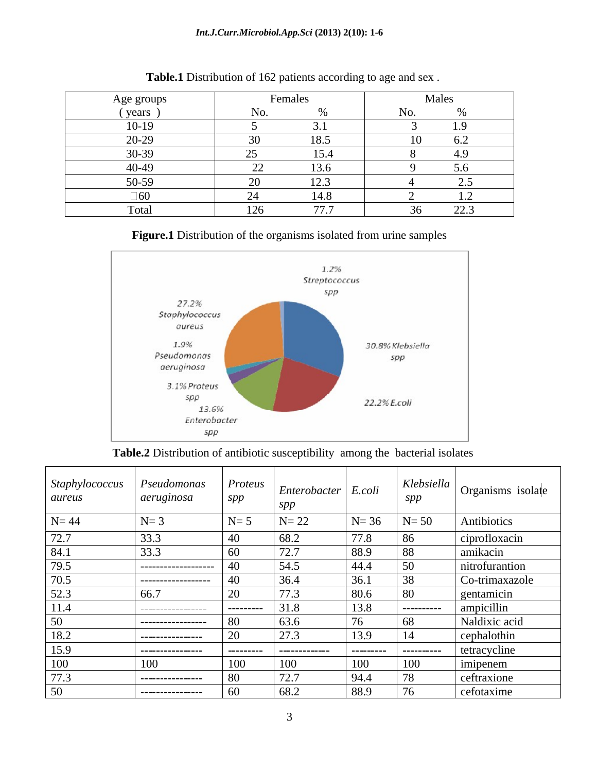| Age groun                                      | <b>Females</b>                   | Males                              |
|------------------------------------------------|----------------------------------|------------------------------------|
| $\mathbf{v}\rho\mathbf{u}$<br>y Caro           |                                  |                                    |
| 10.10<br>$10 - 17$                             |                                  | $\sim$                             |
| 20.20<br>$\overline{20}$                       | 18.5                             | 62<br>$\mathsf{U}.\mathsf{\Delta}$ |
| 20.22<br>50.52                                 | 15.4<br>$\overline{\phantom{a}}$ | 4.9                                |
| $\Lambda$ $\Omega$ $\Lambda$ $\Omega$<br>サリーサン | 126<br>$\overline{\phantom{m}}$  | 5.6                                |
| 50.50<br>- JU-J /                              | 122<br>ن که ۱<br>$\sim$          | ر                                  |
| า∡∩<br>ιυ∪                                     | 14.8<br>$\sim$                   | $\overline{1}$ . $\overline{2}$    |
| Tota<br>$\sim$ .                               | $\pi$ $\pi$                      | 222<br>LL.                         |

**Table.1** Distribution of 162 patients according to age and sex .

# **Figure.1** Distribution of the organisms isolated from urine samples



**Table.2** Distribution of antibiotic susceptibility among the bacterial isolates

| Staphylococcus<br>aureus | Pseudomonas<br>aeruginosa | Proteus<br>$\bm{c}\bm{n}\bm{n}$ | $\vert$ Enterobacter $\vert$ E.coli<br>spp |                       | SDD             | <i>Klebsiella</i> $\log$ organisms isolate |
|--------------------------|---------------------------|---------------------------------|--------------------------------------------|-----------------------|-----------------|--------------------------------------------|
| $N = 44$                 | $N = 3$                   | $N=$                            | $N=22$                                     | $N=36$                | $N = 50$        | Antibiotics                                |
| 72.7                     | 33.3                      | -40                             | 68.2                                       | 77.8                  |                 | ciprofloxacin                              |
| 84.1                     | 33.3                      |                                 | 72.7                                       | 88.9                  |                 | amikacin                                   |
| 79.5                     | ------------------        |                                 | 54.5                                       | 44.4                  |                 | nitrofurantion                             |
| 70.5                     | -------------------       |                                 | 36.4                                       | 36.1                  |                 | Co-trimaxazole                             |
| 52.3                     | 66.7                      |                                 | 77.3                                       | 80.6                  |                 | gentamicin                                 |
| 11.4                     | ------------------        | --------                        | 31.8                                       | 13.8                  | . _ _ _ _ _ _ _ | ampicillin                                 |
| 50                       | -----------------         |                                 | 63.6                                       | $\overline{z}$<br>70. | n×.             | Naldixic acid                              |
| 18.2                     | ----------------          |                                 | 27.3                                       | 13.9                  |                 | cephalothin                                |
| 15.9                     | -----------------         | ----------                      | -------------                              | ----------            | -----------     | tetracycline                               |
| 100                      | 100                       | 100 -                           | 100                                        | 100                   | 100             | imipenem                                   |
| 77.3                     | ----------------          |                                 | 72.7                                       | 94.4                  |                 | ceftraxione                                |
| 50                       | -----------------         |                                 | 68.2                                       | 88.9                  | $\overline{u}$  | cefotaxime                                 |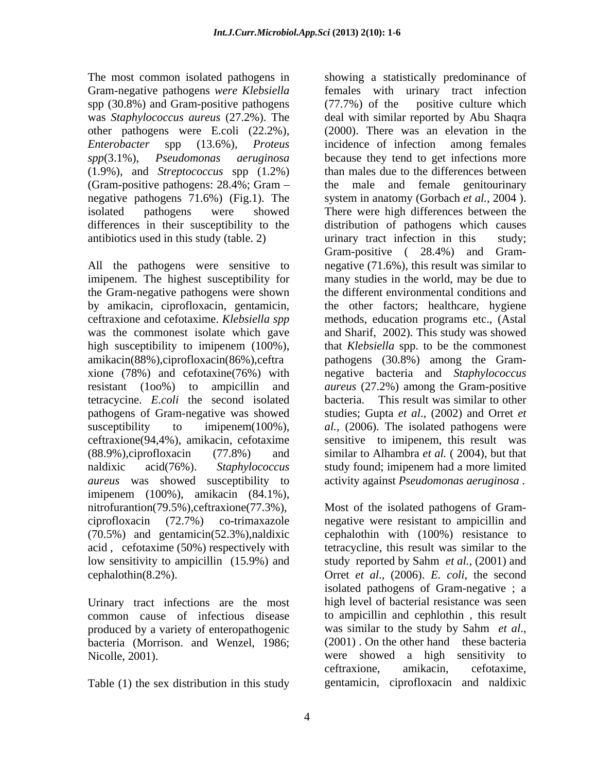Gram-negative pathogens *were Klebsiella* spp  $(30.8\%)$  and Gram-positive pathogens  $(77.7\%)$  of the positive culture which (1.9%), and *Streptococcus* spp (1.2%) (Gram-positive pathogens: 28.4%; Gram – the male and female genitourinary antibiotics used in this study (table. 2) writinary tract infection in this study;

the Gram-negative pathogens were shown *aureus* was showed susceptibility to activity against *Pseudomonas aeruginosa* . imipenem (100%), amikacin (84.1%), nitrofurantion(79.5%),ceftraxione(77.3%),

Urinary tract infections are the most common cause of infectious disease to ampicillin and cephlothin, this result produced by a variety of enteropathogenic was similar to the study by Sahm *et al.*, produced by a variety of enteropathogenic bacteria (Morrison. and Wenzel, 1986; (2001). On the other hand these bacteria

Table (1) the sex distribution in this study

The most common isolated pathogens in showing a statistically predominance of was *Staphylococcus aureus* (27.2%). The deal with similar reported by Abu Shaqra other pathogens were E.coli (22.2%), (2000). There was an elevation in the *Enterobacter* spp (13.6%)*, Proteus spp*(3.1%), *Pseudomonas aeruginosa* because they tend to get infections more negative pathogens 71.6%) (Fig.1). The system in anatomy (Gorbach *et al.,* 2004 ). isolated pathogens were showed There were high differences between the differences in their susceptibility to the distribution of pathogens which causes All the pathogens were sensitive to negative (71.6%), this result was similar to imipenem. The highest susceptibility for many studies in the world, may be due to by amikacin, ciprofloxacin, gentamicin, the other factors; healthcare, hygiene ceftraxione and cefotaxime. *Klebsiella spp* methods, education programs etc., (Astal was the commonest isolate which gave and Sharif, 2002). This study was showed high susceptibility to imipenem (100%), that *Klebsiella* spp. to be the commonest amikacin(88%),ciprofloxacin(86%),ceftra pathogens (30.8%) among the Gram xione (78%) and cefotaxine(76%) with negative bacteria and *Staphylococcus*  resistant (1oo%) to ampicillin and *aureus* (27.2%) among the Gram-positive tetracycine. *E.coli* the second isolated bacteria. This result was similar to other pathogens of Gram-negative was showed studies; Gupta *et al*., (2002) and Orret *et*  susceptibility to imipenem(100%), *al.,* (2006). The isolated pathogens were ceftraxione(94,4%), amikacin, cefotaxime sensitive to imipenem, this result was (88.9%),ciprofloxacin (77.8%) and similar to Alhambra *et al.* ( 2004), but that naldixic acid(76%). *Staphylococcus*  study found; imipenem had a more limited females with urinary tract infection (77.7%) of the positive culture which incidence of infection among females than males due to the differences between the male and female genitourinary urinary tract infection in this Gram-positive ( 28.4%) and Gram the different environmental conditions and

ciprofloxacin (72.7%) co-trimaxazole negative were resistant to ampicillin and (70.5%) and gentamicin(52.3%),naldixic cephalothin with (100%) resistance to acid , cefotaxime (50%) respectively with tetracycline, this result was similar to the low sensitivity to ampicillin (15.9%) and study reported by Sahm *et al.,* (2001) and cephalothin(8.2%). Orret *et al*., (2006). *E. coli*, the second Nicolle, 2001). were showed a high sensitivity to Most of the isolated pathogens of Gram isolated pathogens of Gram-negative ; a high level of bacterial resistance was seen to ampicillin and cephlothin , this result was similar to the study by Sahm *et al.*, (2001). On the other hand these bacteria ceftraxione, amikacin, cefotaxime, gentamicin, ciprofloxacin and naldixic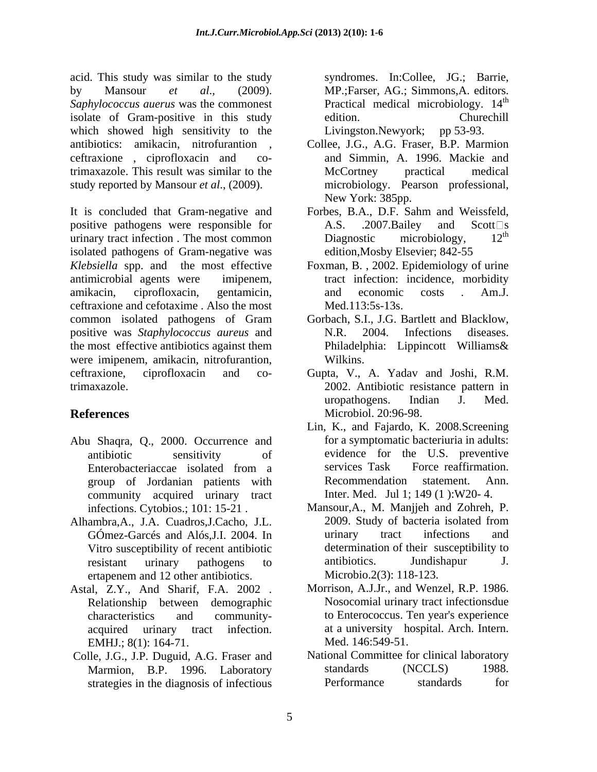acid. This study was similar to the study by Mansour *et al*., (2009). MP.;Farser, AG.; Simmons,A. editors. Saphylococcus auerus was the commonest **Practical medical microbiology**. 14<sup>th</sup> isolate of Gram-positive in this study edition. Churechill which showed high sensitivity to the Livingston. Newyork; pp 53-93. antibiotics: amikacin, nitrofurantion , Collee, J.G., A.G. Fraser, B.P. Marmion ceftraxione , ciprofloxacin and co-and Simmin, A. 1996. Mackie and trimaxazole. This result was similar to the study reported by Mansour *et al*., (2009).

It is concluded that Gram-negative and Forbes, B.A., D.F. Sahm and Weissfeld, positive pathogens were responsible for  $A.S.$  .2007. Bailey and Scott  $\Box$  s<br>urinary tract infection. The most common Diagnostic microbiology  $12^{th}$ urinary tract infection . The most common Diagnostic microbiology, isolated pathogens of Gram-negative was *Klebsiella* spp. and the most effective Foxman, B. , 2002. Epidemiology of urine antimicrobial agents were imipenem, tract infection: incidence, morbidity amikacin, ciprofloxacin, gentamicin, ceftraxione and cefotaxime . Also the most common isolated pathogens of Gram Gorbach, S.I., J.G. Bartlett and Blacklow, positive was *Staphylococcus aureus* and the most effective antibiotics against them Philadelphia: Lippincott Williams & were imipenem, amikacin, nitrofurantion, Wilkins. ceftraxione, ciprofloxacin and co-Gupta, V., A. Yadav and Joshi, R.M. trimaxazole. 2002. Antibiotic resistance pattern in

- Abu Shaqra, Q., 2000. Occurrence and community acquired urinary tract
- Alhambra,A., J.A. Cuadros,J.Cacho, J.L. Vitro susceptibility of recent antibiotic ertapenem and 12 other antibiotics.
- Astal, Z.Y., And Sharif, F.A. 2002 . Relationship between demographic
- Colle, J.G., J.P. Duguid, A.G. Fraser and strategies in the diagnosis of infectious

syndromes. In:Collee, JG.; Barrie, the contract of the contract of the contract of the contract of the contract of the contract of the contract of the contract of the contract of the contract of the contract of the contract of the contract of the contract o edition. Churechill Livingston.Newyork;

- McCortney practical medical microbiology. Pearson professional, New York: 385pp.
- A.S.  $.2007$ . Bailey and Scott s Diagnostic microbiology,  $12^{\text{m}}$ the contract of the contract of the contract of the contract of the contract of the contract of the contract of the contract of the contract of the contract of the contract of the contract of the contract of the contract o edition,Mosby Elsevier; 842-55
- and economic costs . Am.J. Med.113:5s-13s.
- Gorbach, S.I., J.G. Bartlett and Blacklow, N.R. 2004. Infections diseases. Philadelphia: Lippincott Williams& Wilkins.
- **References** Microbiol. 20:96-98. uropathogens. Indian J. Med. Microbiol. 20:96-98.
	- antibiotic sensitivity of evidence for the U.S. preventive Enterobacteriaccae isolated from a group of Jordanian patients with Recommendation statement. Ann. Lin, K., and Fajardo, K. 2008.Screening for a symptomatic bacteriuria in adults: services Task Force reaffirmation. Recommendation statement. Ann. Inter. Med. Jul 1; 149 (1 ):W20- 4.
	- infections. Cytobios.; 101: 15-21 . Mansour,A., M. Manjjeh and Zohreh, P. GÓmez-Garcés and Alós,J.I. 2004. In resistant urinary pathogens to antibiotics. Jundishapur J. 2009. Study of bacteria isolated from urinary tract infections and determination of their susceptibility to antibiotics. Jundishapur J. Microbio.2(3): 118-123.
	- characteristics and community- to Enterococcus. Ten year's experience acquired urinary tract infection. at a university hospital. Arch. Intern.<br>EMHJ.; 8(1): 164-71. Med. 146:549-51. Morrison, A.J.Jr., and Wenzel, R.P. 1986. Nosocomial urinary tract infectionsdue at a university hospital. Arch. Intern. Med. 146:549-51.
	- Marmion, B.P. 1996. Laboratory standards (NCCLS) 1988.<br>
	strategies in the diagnosis of infectious Performance standards for National Committee for clinical laboratory standards (NCCLS) 1988. Performance standards for